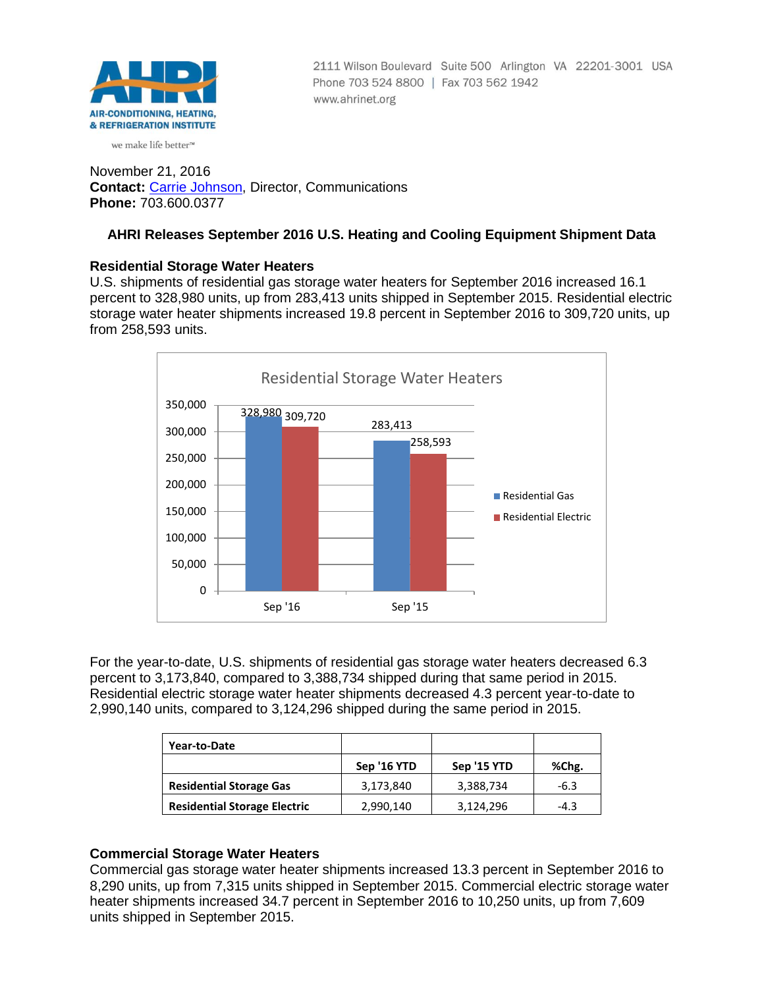

2111 Wilson Boulevard Suite 500 Arlington VA 22201-3001 USA Phone 703 524 8800 | Fax 703 562 1942 www.ahrinet.org

# we make life better<sup>™</sup>

November 21, 2016 **Contact:** [Carrie Johnson,](mailto:cjohnson@ahrinet.org) Director, Communications **Phone:** 703.600.0377

# **AHRI Releases September 2016 U.S. Heating and Cooling Equipment Shipment Data**

#### **Residential Storage Water Heaters**

U.S. shipments of residential gas storage water heaters for September 2016 increased 16.1 percent to 328,980 units, up from 283,413 units shipped in September 2015. Residential electric storage water heater shipments increased 19.8 percent in September 2016 to 309,720 units, up from 258,593 units.



For the year-to-date, U.S. shipments of residential gas storage water heaters decreased 6.3 percent to 3,173,840, compared to 3,388,734 shipped during that same period in 2015. Residential electric storage water heater shipments decreased 4.3 percent year-to-date to 2,990,140 units, compared to 3,124,296 shipped during the same period in 2015.

| Year-to-Date                        |             |             |        |
|-------------------------------------|-------------|-------------|--------|
|                                     | Sep '16 YTD | Sep '15 YTD | %Chg.  |
| <b>Residential Storage Gas</b>      | 3,173,840   | 3,388,734   | $-6.3$ |
| <b>Residential Storage Electric</b> | 2,990,140   | 3,124,296   | $-4.3$ |

# **Commercial Storage Water Heaters**

Commercial gas storage water heater shipments increased 13.3 percent in September 2016 to 8,290 units, up from 7,315 units shipped in September 2015. Commercial electric storage water heater shipments increased 34.7 percent in September 2016 to 10,250 units, up from 7,609 units shipped in September 2015.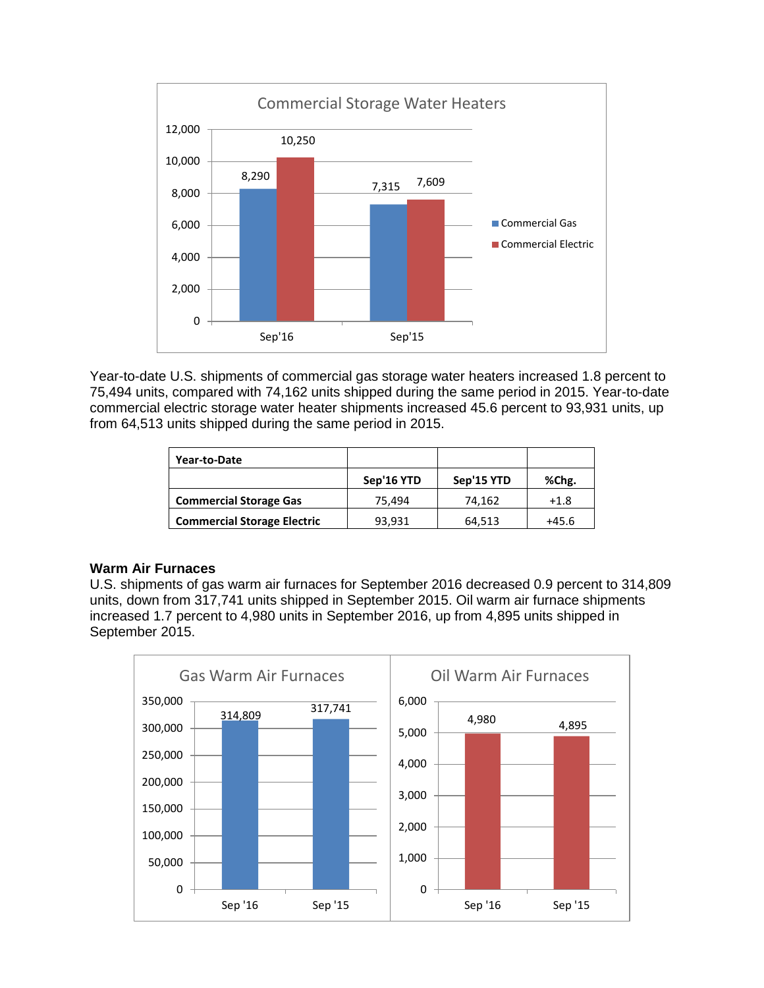

Year-to-date U.S. shipments of commercial gas storage water heaters increased 1.8 percent to 75,494 units, compared with 74,162 units shipped during the same period in 2015. Year-to-date commercial electric storage water heater shipments increased 45.6 percent to 93,931 units, up from 64,513 units shipped during the same period in 2015.

| Year-to-Date                       |            |            |         |
|------------------------------------|------------|------------|---------|
|                                    | Sep'16 YTD | Sep'15 YTD | %Chg.   |
| <b>Commercial Storage Gas</b>      | 75.494     | 74.162     | $+1.8$  |
| <b>Commercial Storage Electric</b> | 93,931     | 64,513     | $+45.6$ |

# **Warm Air Furnaces**

U.S. shipments of gas warm air furnaces for September 2016 decreased 0.9 percent to 314,809 units, down from 317,741 units shipped in September 2015. Oil warm air furnace shipments increased 1.7 percent to 4,980 units in September 2016, up from 4,895 units shipped in September 2015.

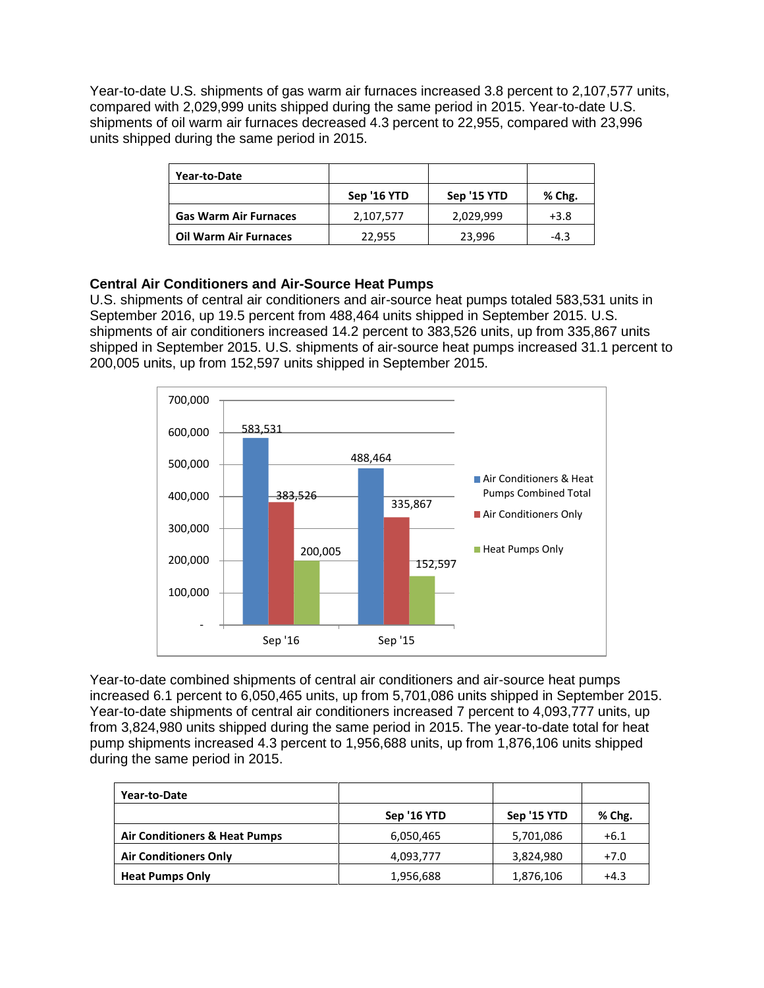Year-to-date U.S. shipments of gas warm air furnaces increased 3.8 percent to 2,107,577 units, compared with 2,029,999 units shipped during the same period in 2015. Year-to-date U.S. shipments of oil warm air furnaces decreased 4.3 percent to 22,955, compared with 23,996 units shipped during the same period in 2015.

| Year-to-Date                 |             |             |        |
|------------------------------|-------------|-------------|--------|
|                              | Sep '16 YTD | Sep '15 YTD | % Chg. |
| <b>Gas Warm Air Furnaces</b> | 2,107,577   | 2,029,999   | $+3.8$ |
| <b>Oil Warm Air Furnaces</b> | 22,955      | 23,996      | $-4.3$ |

# **Central Air Conditioners and Air-Source Heat Pumps**

U.S. shipments of central air conditioners and air-source heat pumps totaled 583,531 units in September 2016, up 19.5 percent from 488,464 units shipped in September 2015. U.S. shipments of air conditioners increased 14.2 percent to 383,526 units, up from 335,867 units shipped in September 2015. U.S. shipments of air-source heat pumps increased 31.1 percent to 200,005 units, up from 152,597 units shipped in September 2015.



Year-to-date combined shipments of central air conditioners and air-source heat pumps increased 6.1 percent to 6,050,465 units, up from 5,701,086 units shipped in September 2015. Year-to-date shipments of central air conditioners increased 7 percent to 4,093,777 units, up from 3,824,980 units shipped during the same period in 2015. The year-to-date total for heat pump shipments increased 4.3 percent to 1,956,688 units, up from 1,876,106 units shipped during the same period in 2015.

| Year-to-Date                             |             |             |        |
|------------------------------------------|-------------|-------------|--------|
|                                          | Sep '16 YTD | Sep '15 YTD | % Chg. |
| <b>Air Conditioners &amp; Heat Pumps</b> | 6,050,465   | 5,701,086   | $+6.1$ |
| <b>Air Conditioners Only</b>             | 4,093,777   | 3,824,980   | $+7.0$ |
| <b>Heat Pumps Only</b>                   | 1,956,688   | 1,876,106   | $+4.3$ |